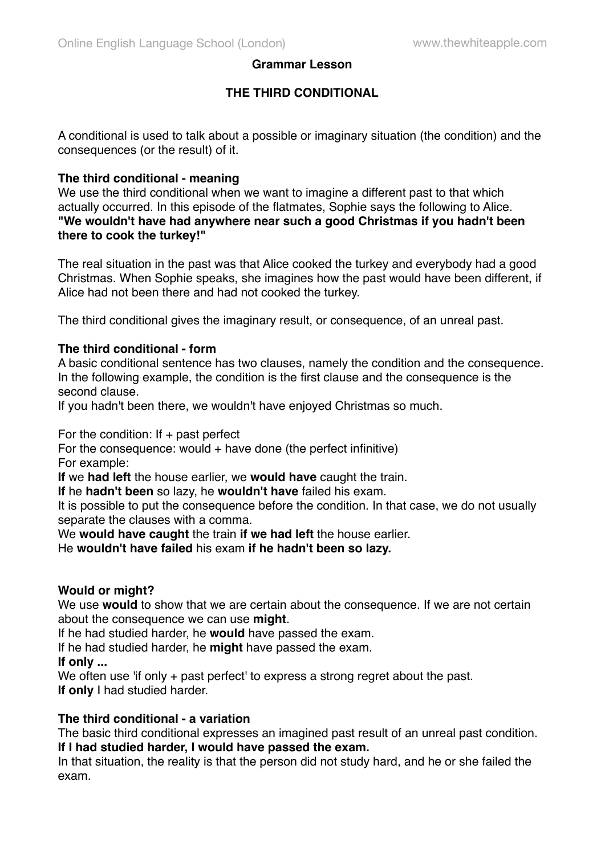## **Grammar Lesson**

# **THE THIRD CONDITIONAL**

A conditional is used to talk about a possible or imaginary situation (the condition) and the consequences (or the result) of it.

## **The third conditional - meaning**

We use the third conditional when we want to imagine a different past to that which actually occurred. In this episode of the flatmates, Sophie says the following to Alice. **"We wouldn't have had anywhere near such a good Christmas if you hadn't been there to cook the turkey!"**

The real situation in the past was that Alice cooked the turkey and everybody had a good Christmas. When Sophie speaks, she imagines how the past would have been different, if Alice had not been there and had not cooked the turkey.

The third conditional gives the imaginary result, or consequence, of an unreal past.

## **The third conditional - form**

A basic conditional sentence has two clauses, namely the condition and the consequence. In the following example, the condition is the first clause and the consequence is the second clause.

If you hadn't been there, we wouldn't have enjoyed Christmas so much.

For the condition: If  $+$  past perfect

For the consequence: would  $+$  have done (the perfect infinitive) For example:

**If** we **had left** the house earlier, we **would have** caught the train.

**If** he **hadn't been** so lazy, he **wouldn't have** failed his exam.

It is possible to put the consequence before the condition. In that case, we do not usually separate the clauses with a comma.

We **would have caught** the train **if we had left** the house earlier.

He **wouldn't have failed** his exam **if he hadn't been so lazy.**

#### **Would or might?**

We use **would** to show that we are certain about the consequence. If we are not certain about the consequence we can use **might**.

If he had studied harder, he **would** have passed the exam.

If he had studied harder, he **might** have passed the exam.

**If only ...**

We often use 'if only + past perfect' to express a strong regret about the past. **If only** I had studied harder.

#### **The third conditional - a variation**

The basic third conditional expresses an imagined past result of an unreal past condition. **If I had studied harder, I would have passed the exam.**

In that situation, the reality is that the person did not study hard, and he or she failed the exam.